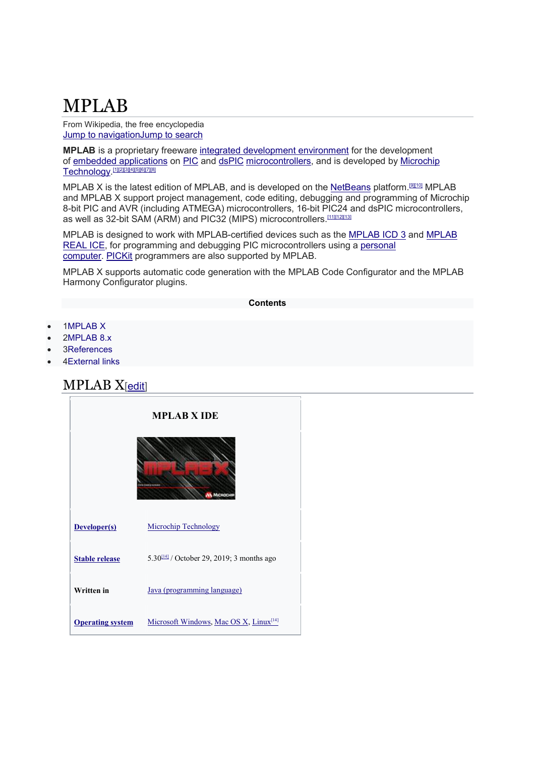## MPLAB

From Wikipedia, the free encyclopedia Jump to navigationJump to search

**MPLAB** is a proprietary freeware integrated development environment for the development of embedded applications on PIC and dsPIC microcontrollers, and is developed by Microchip <u>Technology.[1][2][3][4][5][6][7][8]</u>

MPLAB X is the latest edition of MPLAB, and is developed on the NetBeans platform.<sup>[9][10]</sup> MPLAB and MPLAB X support project management, code editing, debugging and programming of Microchip 8-bit PIC and AVR (including ATMEGA) microcontrollers, 16-bit PIC24 and dsPIC microcontrollers, as well as 32-bit SAM (ARM) and PIC32 (MIPS) microcontrollers.<sup>[11][12][13]</sup>

MPLAB is designed to work with MPLAB-certified devices such as the MPLAB ICD 3 and MPLAB REAL ICE, for programming and debugging PIC microcontrollers using a personal computer. PICKit programmers are also supported by MPLAB.

MPLAB X supports automatic code generation with the MPLAB Code Configurator and the MPLAB Harmony Configurator plugins.

## **Contents**

- 1MPLAB X
- 2MPLAB 8.x
- 3References
- 4External links

## MPLAB X[edit]

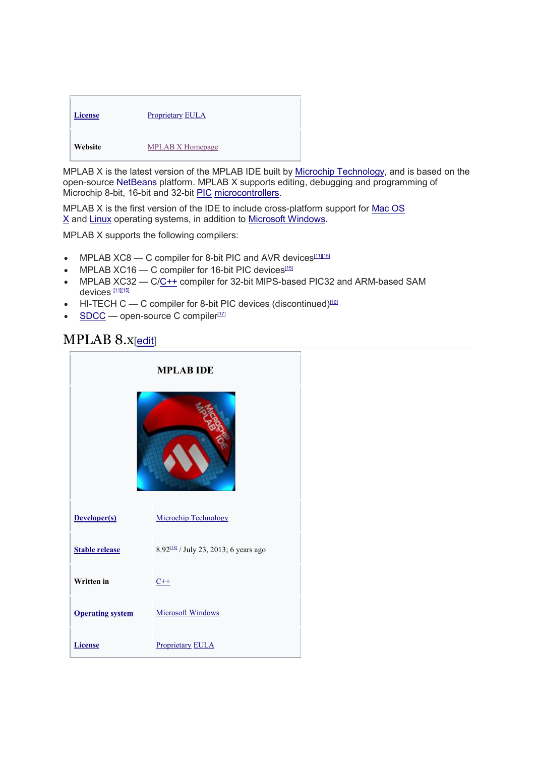| <b>License</b> | <b>Proprietary EULA</b> |
|----------------|-------------------------|
| Website        | MPLAB X Homepage        |

MPLAB X is the latest version of the MPLAB IDE built by Microchip Technology, and is based on the open-source NetBeans platform. MPLAB X supports editing, debugging and programming of Microchip 8-bit, 16-bit and 32-bit PIC microcontrollers.

MPLAB X is the first version of the IDE to include cross-platform support for Mac OS X and Linux operating systems, in addition to Microsoft Windows.

MPLAB X supports the following compilers:

- MPLAB XC8 C compiler for 8-bit PIC and AVR devices<sup>[11][15]</sup>
- MPLAB  $XC16$  C compiler for 16-bit PIC devices<sup>[15]</sup>
- MPLAB XC32 C/C++ compiler for 32-bit MIPS-based PIC32 and ARM-based SAM devices<sup>[11][15]</sup>
- $\bullet$  HI-TECH C  $\leftarrow$  C compiler for 8-bit PIC devices (discontinued)<sup>[16]</sup>
- $\bullet$  SDCC open-source C compiler<sup>[17]</sup>

## MPLAB 8.x[edit]

| <b>MPLAB IDE</b>        |                                                   |
|-------------------------|---------------------------------------------------|
|                         |                                                   |
| Developer(s)            | <b>Microchip Technology</b>                       |
| <b>Stable release</b>   | 8.92 <sup>[18]</sup> / July 23, 2013; 6 years ago |
| <b>Written</b> in       | $C++$                                             |
| <b>Operating system</b> | <b>Microsoft Windows</b>                          |
| <b>License</b>          | <b>Proprietary EULA</b>                           |